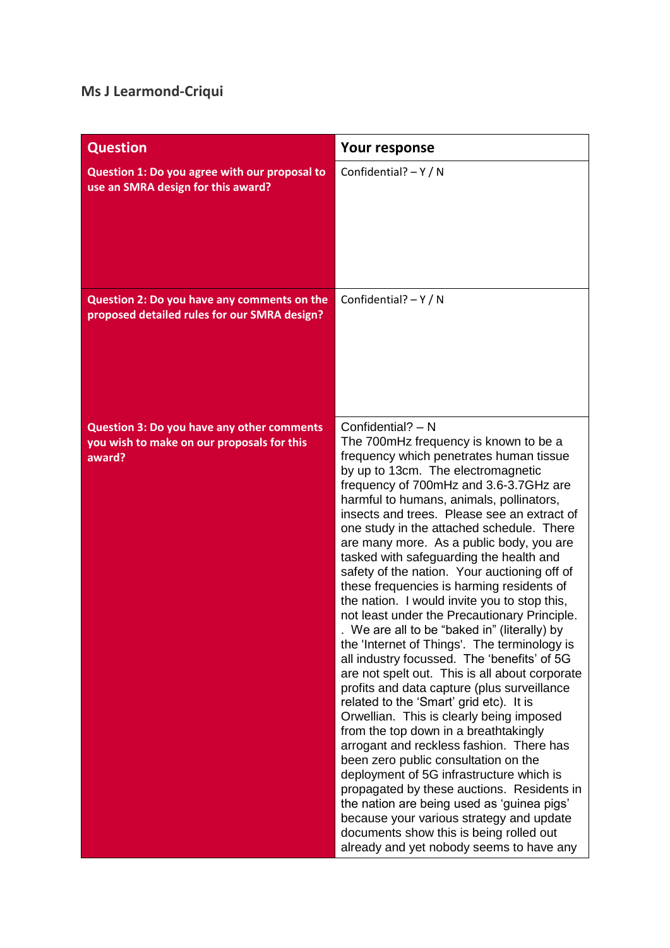## **Ms J Learmond-Criqui**

| <b>Question</b>                                                                                    | Your response                                                                                                                                                                                                                                                                                                                                                                                                                                                                                                                                                                                                                                                                                                                                                                                                                                                                                                                                                                                                                                                                                                                                                                                                                                                                                                                                                    |
|----------------------------------------------------------------------------------------------------|------------------------------------------------------------------------------------------------------------------------------------------------------------------------------------------------------------------------------------------------------------------------------------------------------------------------------------------------------------------------------------------------------------------------------------------------------------------------------------------------------------------------------------------------------------------------------------------------------------------------------------------------------------------------------------------------------------------------------------------------------------------------------------------------------------------------------------------------------------------------------------------------------------------------------------------------------------------------------------------------------------------------------------------------------------------------------------------------------------------------------------------------------------------------------------------------------------------------------------------------------------------------------------------------------------------------------------------------------------------|
| Question 1: Do you agree with our proposal to<br>use an SMRA design for this award?                | Confidential? $-Y/N$                                                                                                                                                                                                                                                                                                                                                                                                                                                                                                                                                                                                                                                                                                                                                                                                                                                                                                                                                                                                                                                                                                                                                                                                                                                                                                                                             |
| Question 2: Do you have any comments on the<br>proposed detailed rules for our SMRA design?        | Confidential? $-Y/N$                                                                                                                                                                                                                                                                                                                                                                                                                                                                                                                                                                                                                                                                                                                                                                                                                                                                                                                                                                                                                                                                                                                                                                                                                                                                                                                                             |
| Question 3: Do you have any other comments<br>you wish to make on our proposals for this<br>award? | Confidential? - N<br>The 700mHz frequency is known to be a<br>frequency which penetrates human tissue<br>by up to 13cm. The electromagnetic<br>frequency of 700mHz and 3.6-3.7GHz are<br>harmful to humans, animals, pollinators,<br>insects and trees. Please see an extract of<br>one study in the attached schedule. There<br>are many more. As a public body, you are<br>tasked with safeguarding the health and<br>safety of the nation. Your auctioning off of<br>these frequencies is harming residents of<br>the nation. I would invite you to stop this,<br>not least under the Precautionary Principle.<br>. We are all to be "baked in" (literally) by<br>the 'Internet of Things'. The terminology is<br>all industry focussed. The 'benefits' of 5G<br>are not spelt out. This is all about corporate<br>profits and data capture (plus surveillance<br>related to the 'Smart' grid etc). It is<br>Orwellian. This is clearly being imposed<br>from the top down in a breathtakingly<br>arrogant and reckless fashion. There has<br>been zero public consultation on the<br>deployment of 5G infrastructure which is<br>propagated by these auctions. Residents in<br>the nation are being used as 'guinea pigs'<br>because your various strategy and update<br>documents show this is being rolled out<br>already and yet nobody seems to have any |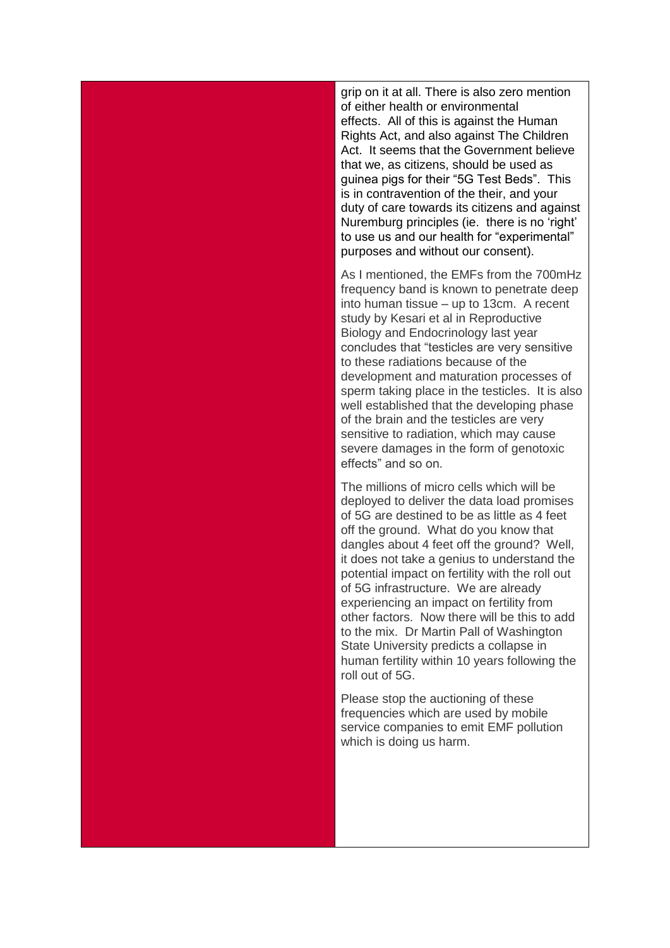grip on it at all. There is also zero mention of either health or environmental effects. All of this is against the Human Rights Act, and also against The Children Act. It seems that the Government believe that we, as citizens, should be used as guinea pigs for their "5G Test Beds". This is in contravention of the their, and your duty of care towards its citizens and against Nuremburg principles (ie. there is no 'right' to use us and our health for "experimental" purposes and without our consent).

As I mentioned, the EMFs from the 700mHz frequency band is known to penetrate deep into human tissue – up to 13cm. A recent study by Kesari et al in Reproductive Biology and Endocrinology last year concludes that "testicles are very sensitive to these radiations because of the development and maturation processes of sperm taking place in the testicles. It is also well established that the developing phase of the brain and the testicles are very sensitive to radiation, which may cause severe damages in the form of genotoxic effects" and so on.

The millions of micro cells which will be deployed to deliver the data load promises of 5G are destined to be as little as 4 feet off the ground. What do you know that dangles about 4 feet off the ground? Well, it does not take a genius to understand the potential impact on fertility with the roll out of 5G infrastructure. We are already experiencing an impact on fertility from other factors. Now there will be this to add to the mix. Dr Martin Pall of Washington State University predicts a collapse in human fertility within 10 years following the roll out of 5G.

Please stop the auctioning of these frequencies which are used by mobile service companies to emit EMF pollution which is doing us harm.